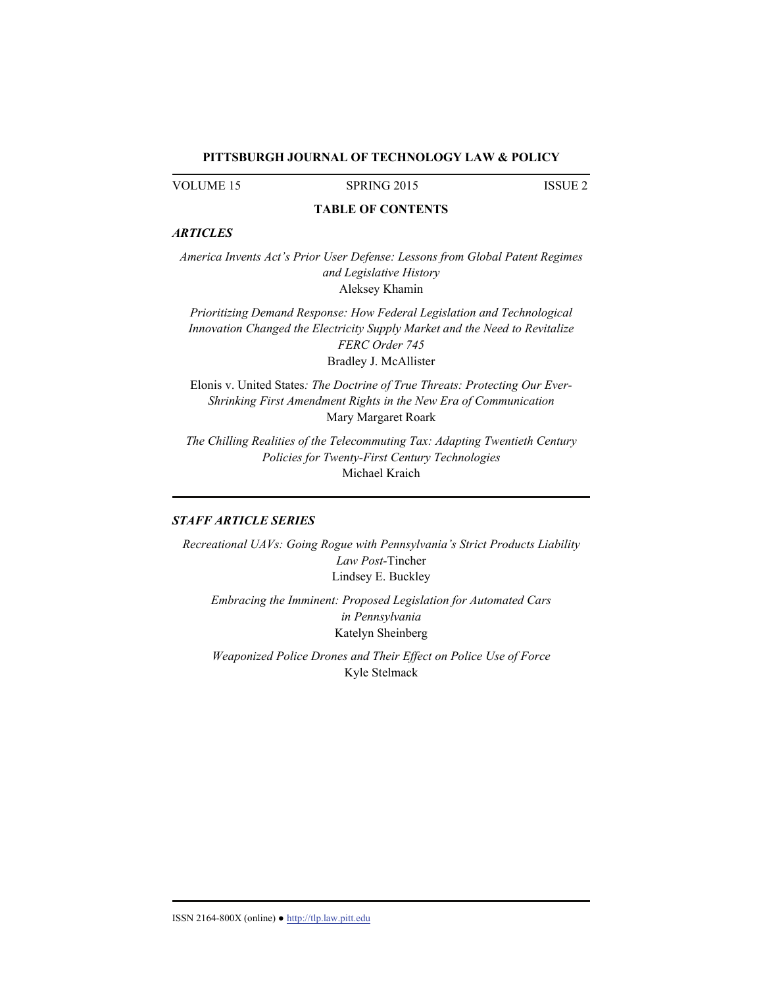### **PITTSBURGH JOURNAL OF TECHNOLOGY LAW & POLICY**

VOLUME 15 SPRING 2015 ISSUE 2

## **TABLE OF CONTENTS**

## *ARTICLES*

*America Invents Act's Prior User Defense: Lessons from Global Patent Regimes and Legislative History*  Aleksey Khamin

*Prioritizing Demand Response: How Federal Legislation and Technological Innovation Changed the Electricity Supply Market and the Need to Revitalize FERC Order 745*  Bradley J. McAllister

Elonis v. United States*: The Doctrine of True Threats: Protecting Our Ever-Shrinking First Amendment Rights in the New Era of Communication*  Mary Margaret Roark

*The Chilling Realities of the Telecommuting Tax: Adapting Twentieth Century Policies for Twenty-First Century Technologies*  Michael Kraich

## *STAFF ARTICLE SERIES*

*Recreational UAVs: Going Rogue with Pennsylvania's Strict Products Liability Law Post-*Tincher Lindsey E. Buckley

*Embracing the Imminent: Proposed Legislation for Automated Cars in Pennsylvania*  Katelyn Sheinberg

*Weaponized Police Drones and Their Effect on Police Use of Force*  Kyle Stelmack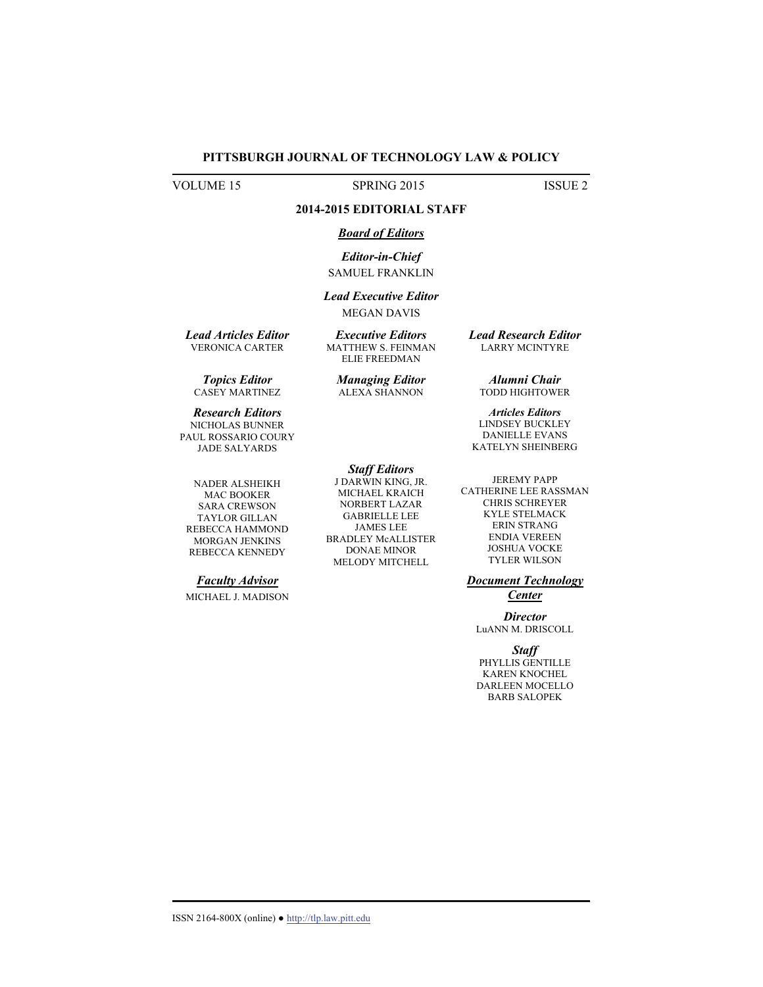### **PITTSBURGH JOURNAL OF TECHNOLOGY LAW & POLICY**

VOLUME 15 SPRING 2015 ISSUE 2

## **2014-2015 EDITORIAL STAFF**

### *Board of Editors*

*Editor-in-Chief*  SAMUEL FRANKLIN

# *Lead Executive Editor*

MEGAN DAVIS *Executive Editors* 

MATTHEW S. FEINMAN ELIE FREEDMAN

*Lead Articles Editor*  VERONICA CARTER

*Topics Editor*  CASEY MARTINEZ

*Research Editors*  NICHOLAS BUNNER PAUL ROSSARIO COURY *Managing Editor*  ALEXA SHANNON

*Staff Editors*  J DARWIN KING, JR. MICHAEL KRAICH NORBERT LAZAR GABRIELLE LEE JAMES LEE BRADLEY McALLISTER DONAE MINOR MELODY MITCHELL

*Lead Research Editor*  LARRY MCINTYRE

*Alumni Chair*  TODD HIGHTOWER

*Articles Editors*  LINDSEY BUCKLEY DANIELLE EVANS KATELYN SHEINBERG

JEREMY PAPP CATHERINE LEE RASSMAN CHRIS SCHREYER KYLE STELMACK ERIN STRANG ENDIA VEREEN JOSHUA VOCKE TYLER WILSON

*Document Technology Center* 

*Director*  LuANN M. DRISCOLL

*Staff*  PHYLLIS GENTILLE KAREN KNOCHEL DARLEEN MOCELLO BARB SALOPEK

# JADE SALYARDS NADER ALSHEIKH MAC BOOKER

TAYLOR GILLAN REBECCA HAMMOND MORGAN JENKINS REBECCA KENNEDY

SARA CREWSON

### *Faculty Advisor*

MICHAEL J. MADISON

ISSN 2164-800X (online) ● http://tlp.law.pitt.edu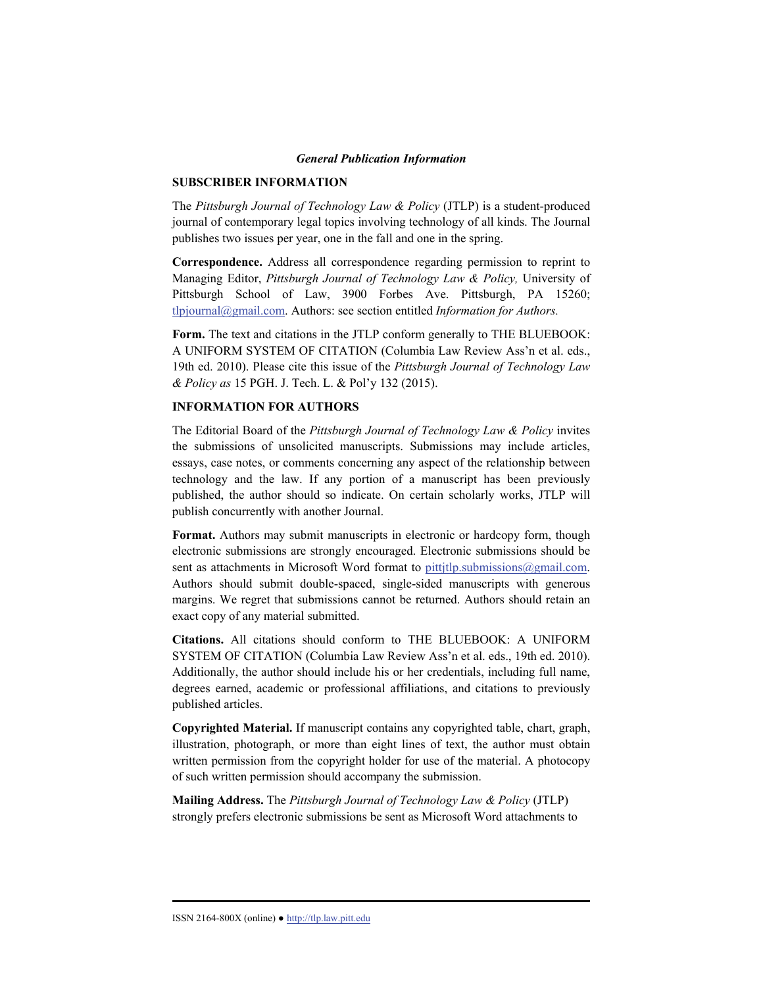#### *General Publication Information*

### **SUBSCRIBER INFORMATION**

The *Pittsburgh Journal of Technology Law & Policy* (JTLP) is a student-produced journal of contemporary legal topics involving technology of all kinds. The Journal publishes two issues per year, one in the fall and one in the spring.

**Correspondence.** Address all correspondence regarding permission to reprint to Managing Editor, *Pittsburgh Journal of Technology Law & Policy,* University of Pittsburgh School of Law, 3900 Forbes Ave. Pittsburgh, PA 15260; tlpjournal@gmail.com. Authors: see section entitled *Information for Authors.*

**Form.** The text and citations in the JTLP conform generally to THE BLUEBOOK: A UNIFORM SYSTEM OF CITATION (Columbia Law Review Ass'n et al. eds., 19th ed. 2010). Please cite this issue of the *Pittsburgh Journal of Technology Law & Policy as* 15 PGH. J. Tech. L. & Pol'y 132 (2015).

### **INFORMATION FOR AUTHORS**

The Editorial Board of the *Pittsburgh Journal of Technology Law & Policy* invites the submissions of unsolicited manuscripts. Submissions may include articles, essays, case notes, or comments concerning any aspect of the relationship between technology and the law. If any portion of a manuscript has been previously published, the author should so indicate. On certain scholarly works, JTLP will publish concurrently with another Journal.

**Format.** Authors may submit manuscripts in electronic or hardcopy form, though electronic submissions are strongly encouraged. Electronic submissions should be sent as attachments in Microsoft Word format to pittjtlp.submissions@gmail.com. Authors should submit double-spaced, single-sided manuscripts with generous margins. We regret that submissions cannot be returned. Authors should retain an exact copy of any material submitted.

**Citations.** All citations should conform to THE BLUEBOOK: A UNIFORM SYSTEM OF CITATION (Columbia Law Review Ass'n et al. eds., 19th ed. 2010). Additionally, the author should include his or her credentials, including full name, degrees earned, academic or professional affiliations, and citations to previously published articles.

**Copyrighted Material.** If manuscript contains any copyrighted table, chart, graph, illustration, photograph, or more than eight lines of text, the author must obtain written permission from the copyright holder for use of the material. A photocopy of such written permission should accompany the submission.

**Mailing Address.** The *Pittsburgh Journal of Technology Law & Policy* (JTLP) strongly prefers electronic submissions be sent as Microsoft Word attachments to